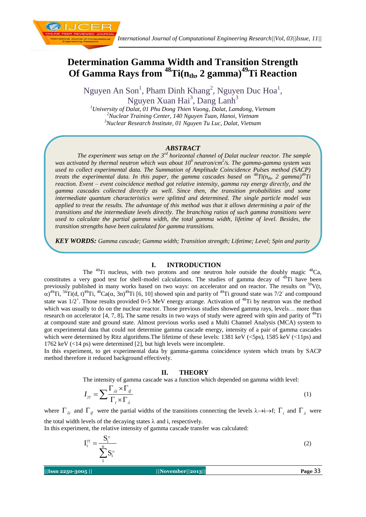

Nguyen An Son<sup>1</sup>, Pham Dinh Khang<sup>2</sup>, Nguyen Duc Hoa<sup>1</sup>, Nguyen Xuan Hai<sup>3</sup>, Dang Lanh<sup>3</sup>

*<sup>1</sup>University of Dalat, 01 Phu Dong Thien Vuong, Dalat, Lamdong, Vietnam <sup>2</sup>Nuclear Training Center, 140 Nguyen Tuan, Hanoi, Vietnam <sup>3</sup>Nuclear Research Institute, 01 Nguyen Tu Luc, Dalat, Vietnam* 

# *ABSTRACT*

*The experiment was setup on the 3rd horizontal channel of Dalat nuclear reactor. The sample was activated by thermal neutron which was about 10<sup>6</sup>neutron/cm<sup>2</sup> /s. The gamma-gamma system was used to collect experimental data. The Summation of Amplitude Coincidence Pulses method (SACP) treats the experimental data. In this paper, the gamma cascades based on*  $\binom{48}{11(n_{th}, 2)$  *gamma)*<sup>49</sup>*Ti reaction. Event – event coincidence method got relative intensity, gamma ray energy directly, and the gamma cascades collected directly as well. Since then, the transition probabilities and some intermediate quantum characteristics were splitted and determined. The single particle model was applied to treat the results. The advantage of this method was that it allows determining a pair of the transitions and the intermediate levels directly. The branching ratios of such gamma transitions were used to calculate the partial gamma width, the total gamma width, lifetime of level. Besides, the transition strengths have been calculated for gamma transitions.* 

*KEY WORDS: Gamma cascade; Gamma width; Transition strength; Lifetime; Level; Spin and parity*

#### **I. INTRODUCTION**

The  $^{49}$ Ti nucleus, with two protons and one neutron hole outside the doubly magic  $^{48}$ Ca, constitutes a very good test for shell-model calculations. The studies of gamma decay of <sup>49</sup>Ti have been previously published in many works based on two ways: on accelerator and on reactor. The results on  $50V(t,$  $\alpha$ <sup>49</sup>Ti, <sup>50</sup>Ti(d, t)<sup>49</sup>Ti, <sup>48</sup>Ca( $\alpha$ , 3n)<sup>49</sup>Ti [6, 10] showed spin and parity of <sup>49</sup>Ti ground state was 7/2<sup>-</sup> and compound state was  $1/2^+$ . Those results provided 0÷5 MeV energy arrange. Activation of <sup>48</sup>Ti by neutron was the method which was usually to do on the nuclear reactor. Those previous studies showed gamma rays, levels... more than research on accelerator  $[4, 7, 8]$ . The same results in two ways of study were agreed with spin and parity of  $49Ti$ at compound state and ground state. Almost previous works used a Multi Channel Analysis (MCA) system to got experimental data that could not determine gamma cascade energy, intensity of a pair of gamma cascades which were determined by Ritz algorithms. The lifetime of these levels: 1381 keV (<5ps), 1585 keV (<11ps) and 1762 keV (<14 ps) were determined [2], but high levels were incomplete.

In this experiment, to get experimental data by gamma-gamma coincidence system which treats by SACP method therefore it reduced background effectively.

#### **II. THEORY**

The intensity of gamma cascade was a function which depended on gamma width level:

$$
I_{\gamma\gamma} = \sum \frac{\Gamma_{\lambda i} \times \Gamma_{i\gamma}}{\Gamma_i \times \Gamma_{\lambda}}
$$
 (1)

where  $\Gamma_{\lambda i}$  and  $\Gamma_{if}$  were the partial widths of the transitions connecting the levels  $\lambda \rightarrow i \rightarrow f$ ;  $\Gamma_i$  and  $\Gamma_{\lambda}$  were the total width levels of the decaying states  $\lambda$  and i, respectively.

In this experiment, the relative intensity of gamma cascade transfer was calculated:

$$
I_i^{\gamma\gamma} = \frac{S_i^{\gamma\gamma}}{\sum_{i=1}^{n} S_i^{\gamma\gamma}}
$$
 (2)

**||Issn 2250-3005 || ||November||2013|| Page** 33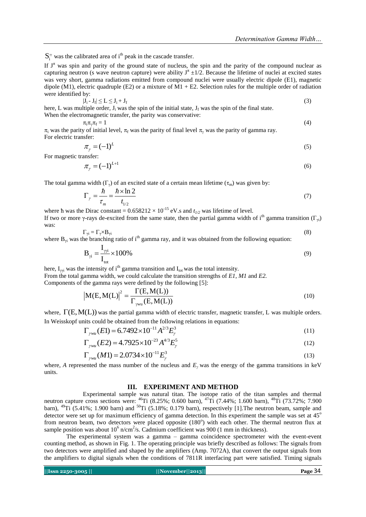$S_i^{\gamma}$  was the calibrated area of i<sup>th</sup> peak in the cascade transfer.

If  $J^{\pi}$  was spin and parity of the ground state of nucleus, the spin and the parity of the compound nuclear as capturing neutron (s wave neutron capture) were ability  $J^{\pi} \pm 1/2$ . Because the lifetime of nuclei at excited states was very short, gamma radiations emitted from compound nuclei were usually electric dipole (E1), magnetic dipole (M1), electric quadruple (E2) or a mixture of M1 + E2. Selection rules for the multiple order of radiation were identified by:

$$
|\mathbf{J}_i - \mathbf{J}_f| \le \mathbf{L} \le \mathbf{J}_i + \mathbf{J}_f \tag{3}
$$

here, L was multiple order,  $J_i$  was the spin of the initial state,  $J_f$  was the spin of the final state. When the electromagnetic transfer, the parity was conservative:

$$
\pi_i \pi_j \pi_f = 1 \tag{4}
$$

 $\pi_i$  was the parity of initial level,  $\pi_f$  was the parity of final level  $\pi_\gamma$  was the parity of gamma ray. For electric transfer:

$$
\tau_{\gamma} = (-1)^{L} \tag{5}
$$

For magnetic transfer:

 $\overline{\mathbf{z}}$ 

$$
\pi_{\gamma} = (-1)^{L+1} \tag{6}
$$

The total gamma width  $(\Gamma_{\gamma})$  of an excited state of a certain mean lifetime  $(\tau_{m})$  was given by:

$$
\Gamma_{\gamma} = \frac{\hbar}{\tau_m} = \frac{\hbar \times \ln 2}{t_{1/2}} \tag{7}
$$

where h was the Dirac constant =  $0.658212 \times 10^{-15}$  eV.s and  $t_{1/2}$  was lifetime of level. If two or more γ-rays de-excited from the same state, then the partial gamma width of i<sup>th</sup> gamma transition (Γ<sub>γi</sub>) was:

$$
\Gamma_{\gamma i} = \Gamma_{\gamma} \times B_{\gamma i} \tag{8}
$$

where  $B_{\nu i}$  was the branching ratio of i<sup>th</sup> gamma ray, and it was obtained from the following equation:

$$
\mathbf{B}_{\gamma i} = \frac{\mathbf{I}_{\gamma \gamma i}}{\mathbf{I}_{\text{tot}}} \times 100\%
$$
\n(9)

here,  $I_{\gamma i}$  was the intensity of i<sup>th</sup> gamma transition and  $I_{\text{tot}}$  was the total intensity. From the total gamma width, we could calculate the transition strengths of *E1*, *M1* and *E2.*

Components of the gamma rays were defined by the following [5]:

\n
$$
\left| M(E, M(L)) \right|^2 = \frac{\Gamma(E, M(L))}{\Gamma_{\text{wul}}(E, M(L))}
$$
\n(10)

where,  $\Gamma(E, M(L))$  was the partial gamma width of electric transfer, magnetic transfer, L was multiple orders.

In Weisskopf units could be obtained from the following relations in equations:  
\n
$$
\Gamma_{\gamma w u}(E1) = 6.7492 \times 10^{-11} A^{2/3} E_{\gamma}^{3}
$$
\n(11)

$$
\Gamma_{\gamma w u}(E1) = 0.7492 \times 10^{-23} A^{4/3} E_{\gamma}^{5}
$$
\n(11)  
\n
$$
\Gamma_{\gamma w u}(E2) = 4.7925 \times 10^{-23} A^{4/3} E_{\gamma}^{5}
$$
\n(12)

$$
\Gamma_{\gamma w u} (M1) = 2.0734 \times 10^{-11} E_{\gamma}^{3}
$$
 (13)

where, *A* represented the mass number of the nucleus and *Eγ* was the energy of the gamma transitions in keV units.

### **III. EXPERIMENT AND METHOD**

Experimental sample was natural titan. The isotope ratio of the titan samples and thermal neutron capture cross sections were: <sup>46</sup>Ti (8.25%; 0.600 barn), <sup>47</sup>Ti (7.44%; 1.600 barn), <sup>48</sup>Ti (73.72%; 7.900 barn),  $^{49}$ Ti (5.41%; 1.900 barn) and  $^{50}$ Ti (5.18%; 0.179 barn), respectively [1]. The neutron beam, sample and detector were set up for maximum efficiency of gamma detection. In this experiment the sample was set at  $45^{\circ}$ from neutron beam, two detectors were placed opposite (180°) with each other. The thermal neutron flux at sample position was about  $10^6$  n/cm<sup>2</sup>/s. Cadmium coefficient was 900 (1 mm in thickness).

The experimental system was a gamma – gamma coincidence spectrometer with the event-event counting method, as shown in Fig. 1. The operating principle was briefly described as follows: The signals from two detectors were amplified and shaped by the amplifiers (Amp. 7072A), that convert the output signals from the amplifiers to digital signals when the conditions of 7811R interfacing part were satisfied. Timing signals

| Issn 2250-3005 |  |
|----------------|--|
|                |  |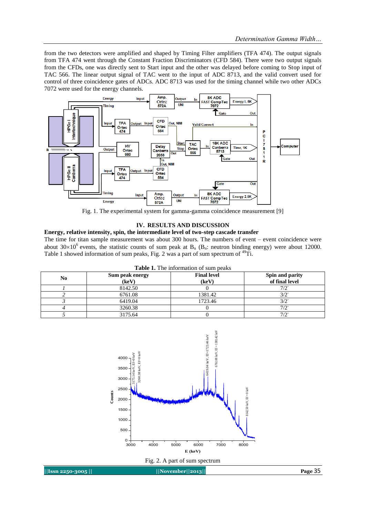from the two detectors were amplified and shaped by Timing Filter amplifiers (TFA 474). The output signals from TFA 474 went through the [Constant Fraction Discriminators](http://www.google.com.vn/url?sa=t&rct=j&q=&esrc=s&source=web&cd=1&ved=0CCwQFjAA&url=http%3A%2F%2Fwww.ortec-online.com%2Fdownload%2F584.pdf&ei=mgJSUr_kJeH6iQed1oH4Dg&usg=AFQjCNFJ06vrgTyx3UFcF6cD7Y33X_tl8g&bvm=bv.53537100,d.aGc&cad=rja) (CFD 584). There were two output signals from the CFDs, one was directly sent to Start input and the other was delayed before coming to Stop input of TAC 566. The linear output signal of TAC went to the input of ADC 8713, and the valid convert used for control of three coincidence gates of ADCs. ADC 8713 was used for the timing channel while two other ADCs 7072 were used for the energy channels.



Fig. 1. The experimental system for gamma-gamma coincidence measurement [9]

### **IV. RESULTS AND DISCUSSION**

#### **Energy, relative intensity, spin, the intermediate level of two-step cascade transfer**

The time for titan sample measurement was about 300 hours. The numbers of event – event coincidence were about 30×10<sup>6</sup> events, the statistic counts of sum peak at  $B_n$  ( $B_n$ : neutron binding energy) were about 12000. Table 1 showed information of sum peaks, Fig. 2 was a part of sum spectrum of <sup>49</sup>Ti.

|  | <b>Table 1.</b> The information of sum peaks |  |  |
|--|----------------------------------------------|--|--|
|--|----------------------------------------------|--|--|

| No | Sum peak energy<br>(key) | <b>Final level</b><br>(keV) | Spin and parity<br>of final level |
|----|--------------------------|-----------------------------|-----------------------------------|
|    | 8142.50                  |                             | $7/2^{-}$                         |
|    | 6761.08                  | 1381.42                     | 3/2                               |
|    | 6419.04                  | 1723.46                     | 3/2                               |
|    | 3260.38                  |                             | $7/2^{-}$                         |
|    | 3175.64                  |                             | $7/2^{-}$                         |



**||Issn 2250-3005 || ||November||2013|| Page** 35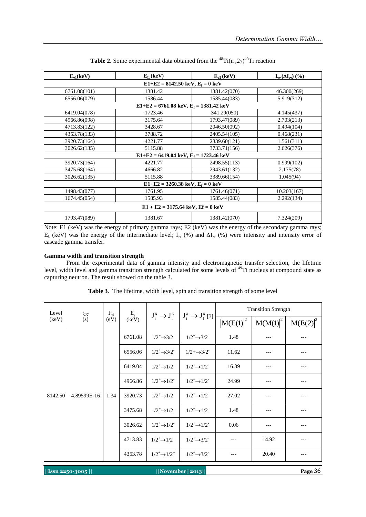| $E_{\nu 1}$ (keV)                                        | $E_{I}$ (keV)                                            | $E_{v2}$ (keV) | $I_{\mathbf{w}}(\Delta I_{\mathbf{w}})$ (%) |  |  |  |  |
|----------------------------------------------------------|----------------------------------------------------------|----------------|---------------------------------------------|--|--|--|--|
| $E1+E2 = 8142.50 \text{ keV}, E_f = 0 \text{ keV}$       |                                                          |                |                                             |  |  |  |  |
| 6761.08(101)                                             | 1381.42                                                  | 1381.42(070)   | 46.300(269)                                 |  |  |  |  |
| 6556.06(079)                                             | 1586.44                                                  | 1585.44(083)   | 5.919(312)                                  |  |  |  |  |
|                                                          | $E1+E2 = 6761.08 \text{ keV}, E_f = 1381.42 \text{ keV}$ |                |                                             |  |  |  |  |
| 6419.04(078)                                             | 1723.46                                                  | 341.29(050)    | 4.145(437)                                  |  |  |  |  |
| 4966.86(098)                                             | 3175.64                                                  | 1793.47(089)   | 2.703(213)                                  |  |  |  |  |
| 4713.83(122)                                             | 3428.67                                                  | 2046.50(092)   | 0.494(104)                                  |  |  |  |  |
| 4353.78(133)                                             | 3788.72                                                  | 2405.54(105)   | 0.468(231)                                  |  |  |  |  |
| 3920.73(164)                                             | 4221.77                                                  | 2839.60(121)   | 1.561(311)                                  |  |  |  |  |
| 3026.62(135)                                             | 5115.88                                                  | 3733.71(156)   | 2.626(376)                                  |  |  |  |  |
| $E1+E2 = 6419.04 \text{ keV}, E_f = 1723.46 \text{ keV}$ |                                                          |                |                                             |  |  |  |  |
| 4221.77<br>3920.73(164)<br>2498.55(113)<br>0.999(102)    |                                                          |                |                                             |  |  |  |  |
| 3475.68(164)                                             | 4666.82                                                  | 2943.61(132)   | 2.175(78)                                   |  |  |  |  |
| 3026.62(135)                                             | 5115.88                                                  | 3389.66(154)   | 1.045(94)                                   |  |  |  |  |
|                                                          | $E1+E2 = 3260.38 \text{ keV}, E_f = 0 \text{ keV}$       |                |                                             |  |  |  |  |
| 1498.43(077)                                             | 1761.95                                                  | 1761.46(071)   | 10.203(167)                                 |  |  |  |  |
| 1674.45(054)                                             | 1585.93                                                  | 1585.44(083)   | 2.292(134)                                  |  |  |  |  |
| $E1 + E2 = 3175.64$ keV, $Ef = 0$ keV                    |                                                          |                |                                             |  |  |  |  |
| 1793.47(089)                                             | 1381.67                                                  | 1381.42(070)   | 7.324(209)                                  |  |  |  |  |

| <b>Table 2.</b> Some experimental data obtained from the <sup>48</sup> Ti(n, 2 $\gamma$ ) <sup>49</sup> Ti reaction |  |  |
|---------------------------------------------------------------------------------------------------------------------|--|--|
|---------------------------------------------------------------------------------------------------------------------|--|--|

Note: E1 (keV) was the energy of primary gamma rays; E2 (keV) was the energy of the secondary gamma rays;  $E_L$  (keV) was the energy of the intermediate level;  $I_{\gamma}$  (%) and  $\Delta I_{\gamma}$  (%) were intensity and intensity error of cascade gamma transfer.

#### **Gamma width and transition strength**

From the experimental data of gamma intensity and electromagnetic transfer selection, the lifetime level, width level and gamma transition strength calculated for some levels of <sup>49</sup>Ti nucleus at compound state as capturing neutron. The result showed on the table 3.

| Level<br>(keV)                                                     | $t_{1/2}$<br>(s) | $\Gamma_{\gamma i}$<br>(eV) | $\text{E}_{\gamma}$<br>(keV) |                               | $J_i^{\pi} \rightarrow J_f^{\pi}$ $J_i^{\pi} \rightarrow J_f^{\pi}$ [3] | <b>Transition Strength</b> |               |              |
|--------------------------------------------------------------------|------------------|-----------------------------|------------------------------|-------------------------------|-------------------------------------------------------------------------|----------------------------|---------------|--------------|
|                                                                    |                  |                             |                              |                               |                                                                         | $ M(E(1) ^2$               | $ M(M(1) ^2 $ | $ M(E(2) ^2$ |
|                                                                    | 4.89599E-16      | 1.34                        | 6761.08                      | $1/2^+$ $\rightarrow$ 3/2     | $1/2^+$ $\rightarrow$ 3/2                                               | 1.48                       | ---           |              |
|                                                                    |                  |                             | 6556.06                      | $1/2^+$ $\rightarrow$ 3/2     | $1/2 + \rightarrow 3/2^-$                                               | 11.62                      | ---           |              |
|                                                                    |                  |                             | 6419.04                      | $1/2^+$ $\rightarrow$ $1/2^-$ | $1/2^+$ $\rightarrow$ $1/2^-$                                           | 16.39                      |               |              |
|                                                                    |                  |                             | 4966.86                      | $1/2^+$ $\rightarrow$ $1/2^-$ | $1/2^+$ $\rightarrow$ $1/2^-$                                           | 24.99                      | $---$         |              |
| 8142.50                                                            |                  |                             | 3920.73                      | $1/2^+$ $\rightarrow$ $1/2^-$ | $1/2^+$ $\rightarrow$ $1/2^-$                                           | 27.02                      |               |              |
|                                                                    |                  |                             | 3475.68                      | $1/2^+$ $\rightarrow$ $1/2^-$ | $1/2^+$ $\rightarrow$ $1/2^-$                                           | 1.48                       | ---           |              |
|                                                                    |                  |                             | 3026.62                      | $1/2^+$ $\rightarrow$ $1/2^-$ | $1/2^+$ $\rightarrow$ $1/2^-$                                           | 0.06                       | ---           |              |
|                                                                    |                  |                             | 4713.83                      | $1/2^+$ $\rightarrow$ $1/2^+$ | $1/2^+\rightarrow 3/2^-$                                                |                            | 14.92         |              |
|                                                                    |                  |                             | 4353.78                      | $1/2^+\rightarrow 1/2^+$      | $1/2^+$ $\rightarrow$ 3/2                                               |                            | 20.40         |              |
| Page 36<br>$  $ Issn 2250-3005 $  $<br>$  \text{November}  2013  $ |                  |                             |                              |                               |                                                                         |                            |               |              |

**Table 3**. The lifetime, width level, spin and transition strength of some level